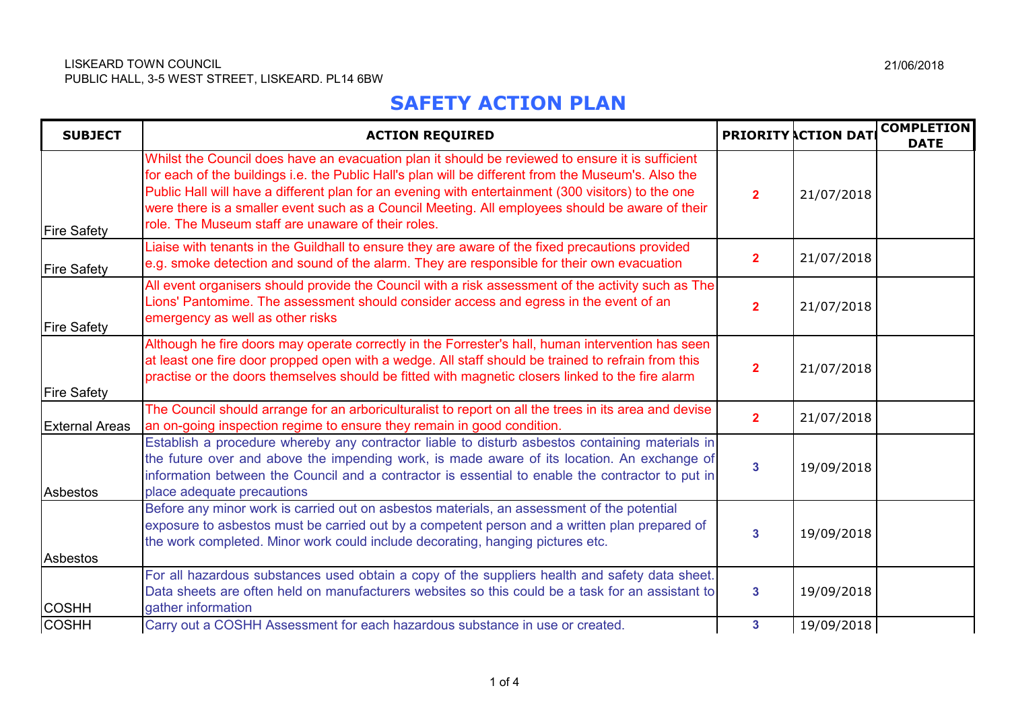## **SAFETY ACTION PLAN**

| <b>SUBJECT</b>        | <b>ACTION REQUIRED</b>                                                                                                                                                                                                                                                                                                                                                                                                                                                 |                         | <b>PRIORITY ACTION DAT</b> | <b>COMPLETION</b><br><b>DATE</b> |
|-----------------------|------------------------------------------------------------------------------------------------------------------------------------------------------------------------------------------------------------------------------------------------------------------------------------------------------------------------------------------------------------------------------------------------------------------------------------------------------------------------|-------------------------|----------------------------|----------------------------------|
| <b>Fire Safety</b>    | Whilst the Council does have an evacuation plan it should be reviewed to ensure it is sufficient<br>for each of the buildings i.e. the Public Hall's plan will be different from the Museum's. Also the<br>Public Hall will have a different plan for an evening with entertainment (300 visitors) to the one<br>were there is a smaller event such as a Council Meeting. All employees should be aware of their<br>role. The Museum staff are unaware of their roles. | $\overline{2}$          | 21/07/2018                 |                                  |
| <b>Fire Safety</b>    | Liaise with tenants in the Guildhall to ensure they are aware of the fixed precautions provided<br>e.g. smoke detection and sound of the alarm. They are responsible for their own evacuation                                                                                                                                                                                                                                                                          | $\overline{2}$          | 21/07/2018                 |                                  |
| <b>Fire Safety</b>    | All event organisers should provide the Council with a risk assessment of the activity such as The<br>Lions' Pantomime. The assessment should consider access and egress in the event of an<br>emergency as well as other risks                                                                                                                                                                                                                                        | $\overline{2}$          | 21/07/2018                 |                                  |
| <b>Fire Safety</b>    | Although he fire doors may operate correctly in the Forrester's hall, human intervention has seen<br>at least one fire door propped open with a wedge. All staff should be trained to refrain from this<br>practise or the doors themselves should be fitted with magnetic closers linked to the fire alarm                                                                                                                                                            | 2 <sup>1</sup>          | 21/07/2018                 |                                  |
| <b>External Areas</b> | The Council should arrange for an arboriculturalist to report on all the trees in its area and devise<br>an on-going inspection regime to ensure they remain in good condition.                                                                                                                                                                                                                                                                                        | $\overline{2}$          | 21/07/2018                 |                                  |
| Asbestos              | Establish a procedure whereby any contractor liable to disturb asbestos containing materials in<br>the future over and above the impending work, is made aware of its location. An exchange of<br>information between the Council and a contractor is essential to enable the contractor to put in<br>place adequate precautions                                                                                                                                       | $\overline{\mathbf{3}}$ | 19/09/2018                 |                                  |
| <b>Asbestos</b>       | Before any minor work is carried out on asbestos materials, an assessment of the potential<br>exposure to asbestos must be carried out by a competent person and a written plan prepared of<br>the work completed. Minor work could include decorating, hanging pictures etc.                                                                                                                                                                                          | $\overline{3}$          | 19/09/2018                 |                                  |
| <b>COSHH</b>          | For all hazardous substances used obtain a copy of the suppliers health and safety data sheet.<br>Data sheets are often held on manufacturers websites so this could be a task for an assistant to<br>gather information                                                                                                                                                                                                                                               | $\mathbf{3}$            | 19/09/2018                 |                                  |
| <b>COSHH</b>          | Carry out a COSHH Assessment for each hazardous substance in use or created.                                                                                                                                                                                                                                                                                                                                                                                           | 3 <sup>1</sup>          | 19/09/2018                 |                                  |

21/06/2018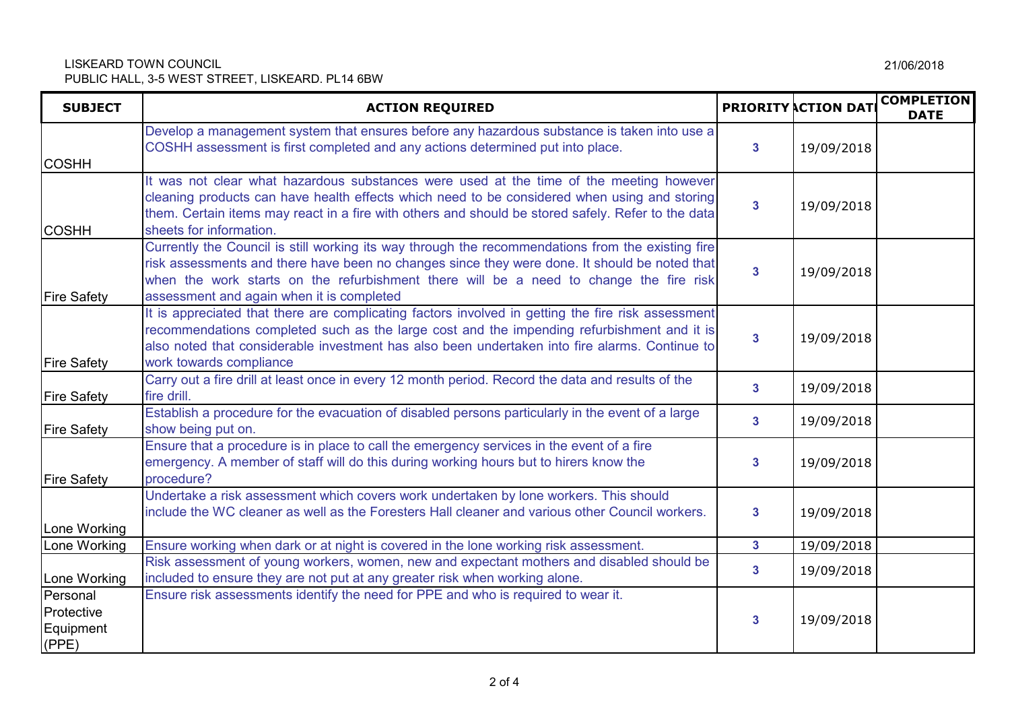## LISKEARD TOWN COUNCIL PUBLIC HALL, 3-5 WEST STREET, LISKEARD. PL14 6BW

| <b>SUBJECT</b>                               | <b>ACTION REQUIRED</b>                                                                                                                                                                                                                                                                                                                    |                         | <b>PRIORITY ACTION DATE</b> | <b>COMPLETION</b><br><b>DATE</b> |
|----------------------------------------------|-------------------------------------------------------------------------------------------------------------------------------------------------------------------------------------------------------------------------------------------------------------------------------------------------------------------------------------------|-------------------------|-----------------------------|----------------------------------|
| <b>COSHH</b>                                 | Develop a management system that ensures before any hazardous substance is taken into use a<br>COSHH assessment is first completed and any actions determined put into place.                                                                                                                                                             | $\mathbf{3}$            | 19/09/2018                  |                                  |
| <b>COSHH</b>                                 | It was not clear what hazardous substances were used at the time of the meeting however<br>cleaning products can have health effects which need to be considered when using and storing<br>them. Certain items may react in a fire with others and should be stored safely. Refer to the data<br>sheets for information.                  | $\mathbf{3}$            | 19/09/2018                  |                                  |
| <b>Fire Safety</b>                           | Currently the Council is still working its way through the recommendations from the existing fire<br>risk assessments and there have been no changes since they were done. It should be noted that<br>when the work starts on the refurbishment there will be a need to change the fire risk<br>assessment and again when it is completed | $\mathbf{3}$            | 19/09/2018                  |                                  |
| <b>Fire Safety</b>                           | It is appreciated that there are complicating factors involved in getting the fire risk assessment<br>recommendations completed such as the large cost and the impending refurbishment and it is<br>also noted that considerable investment has also been undertaken into fire alarms. Continue to<br>work towards compliance             | 3                       | 19/09/2018                  |                                  |
| <b>Fire Safety</b>                           | Carry out a fire drill at least once in every 12 month period. Record the data and results of the<br>fire drill.                                                                                                                                                                                                                          | $\overline{3}$          | 19/09/2018                  |                                  |
| <b>Fire Safety</b>                           | Establish a procedure for the evacuation of disabled persons particularly in the event of a large<br>show being put on.                                                                                                                                                                                                                   | 3                       | 19/09/2018                  |                                  |
| <b>Fire Safety</b>                           | Ensure that a procedure is in place to call the emergency services in the event of a fire<br>emergency. A member of staff will do this during working hours but to hirers know the<br>procedure?                                                                                                                                          | $\overline{\mathbf{3}}$ | 19/09/2018                  |                                  |
| Lone Working                                 | Undertake a risk assessment which covers work undertaken by lone workers. This should<br>include the WC cleaner as well as the Foresters Hall cleaner and various other Council workers.                                                                                                                                                  | 3                       | 19/09/2018                  |                                  |
| Lone Working                                 | Ensure working when dark or at night is covered in the lone working risk assessment.                                                                                                                                                                                                                                                      | 3 <sup>1</sup>          | 19/09/2018                  |                                  |
| Lone Working                                 | Risk assessment of young workers, women, new and expectant mothers and disabled should be<br>included to ensure they are not put at any greater risk when working alone.                                                                                                                                                                  | 3                       | 19/09/2018                  |                                  |
| Personal<br>Protective<br>Equipment<br>(PPE) | Ensure risk assessments identify the need for PPE and who is required to wear it.                                                                                                                                                                                                                                                         | 3                       | 19/09/2018                  |                                  |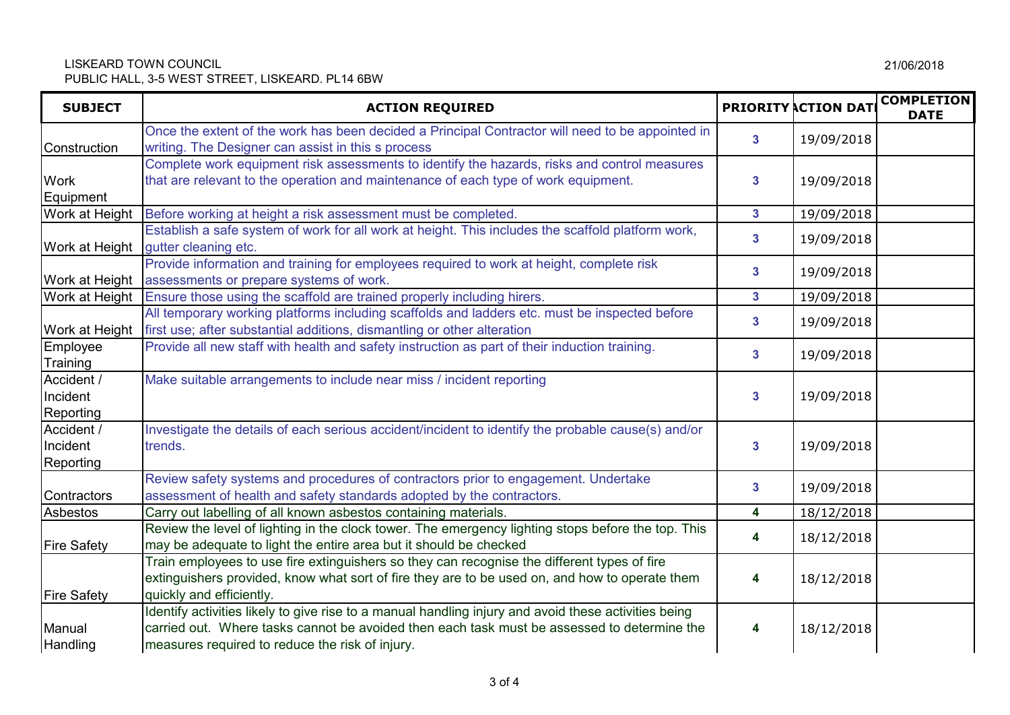## LISKEARD TOWN COUNCIL PUBLIC HALL, 3-5 WEST STREET, LISKEARD. PL14 6BW

| <b>SUBJECT</b>                             | <b>ACTION REQUIRED</b>                                                                                                                                                                                                                                 |                         | <b>PRIORITY ACTION DAT</b> | <b>COMPLETION</b><br><b>DATE</b> |
|--------------------------------------------|--------------------------------------------------------------------------------------------------------------------------------------------------------------------------------------------------------------------------------------------------------|-------------------------|----------------------------|----------------------------------|
| Construction                               | Once the extent of the work has been decided a Principal Contractor will need to be appointed in<br>writing. The Designer can assist in this s process                                                                                                 | $\overline{\mathbf{3}}$ | 19/09/2018                 |                                  |
| <b>Work</b><br>Equipment                   | Complete work equipment risk assessments to identify the hazards, risks and control measures<br>that are relevant to the operation and maintenance of each type of work equipment.                                                                     | 3                       | 19/09/2018                 |                                  |
| Work at Height                             | Before working at height a risk assessment must be completed.                                                                                                                                                                                          | $\mathbf{3}$            | 19/09/2018                 |                                  |
| Work at Height                             | Establish a safe system of work for all work at height. This includes the scaffold platform work,<br>gutter cleaning etc.                                                                                                                              | $\mathbf{3}$            | 19/09/2018                 |                                  |
| Work at Height                             | Provide information and training for employees required to work at height, complete risk<br>assessments or prepare systems of work.                                                                                                                    | $\mathbf{3}$            | 19/09/2018                 |                                  |
| Work at Height                             | Ensure those using the scaffold are trained properly including hirers.                                                                                                                                                                                 | $\mathbf{3}$            | 19/09/2018                 |                                  |
| Work at Height                             | All temporary working platforms including scaffolds and ladders etc. must be inspected before<br>first use; after substantial additions, dismantling or other alteration                                                                               | $\overline{\mathbf{3}}$ | 19/09/2018                 |                                  |
| Employee<br>Training                       | Provide all new staff with health and safety instruction as part of their induction training.                                                                                                                                                          | $\mathbf{3}$            | 19/09/2018                 |                                  |
| Accident /<br>Incident<br><b>Reporting</b> | Make suitable arrangements to include near miss / incident reporting                                                                                                                                                                                   | $\overline{\mathbf{3}}$ | 19/09/2018                 |                                  |
| Accident /<br>Incident<br><b>Reporting</b> | Investigate the details of each serious accident/incident to identify the probable cause(s) and/or<br>trends.                                                                                                                                          | $\mathbf{3}$            | 19/09/2018                 |                                  |
| Contractors                                | Review safety systems and procedures of contractors prior to engagement. Undertake<br>assessment of health and safety standards adopted by the contractors.                                                                                            | $\overline{\mathbf{3}}$ | 19/09/2018                 |                                  |
| Asbestos                                   | Carry out labelling of all known asbestos containing materials.                                                                                                                                                                                        | 4                       | 18/12/2018                 |                                  |
| <b>Fire Safety</b>                         | Review the level of lighting in the clock tower. The emergency lighting stops before the top. This<br>may be adequate to light the entire area but it should be checked                                                                                | 4                       | 18/12/2018                 |                                  |
| <b>Fire Safety</b>                         | Train employees to use fire extinguishers so they can recognise the different types of fire<br>extinguishers provided, know what sort of fire they are to be used on, and how to operate them<br>quickly and efficiently.                              | 4                       | 18/12/2018                 |                                  |
| Manual<br><b>Handling</b>                  | Identify activities likely to give rise to a manual handling injury and avoid these activities being<br>carried out. Where tasks cannot be avoided then each task must be assessed to determine the<br>measures required to reduce the risk of injury. | 4                       | 18/12/2018                 |                                  |